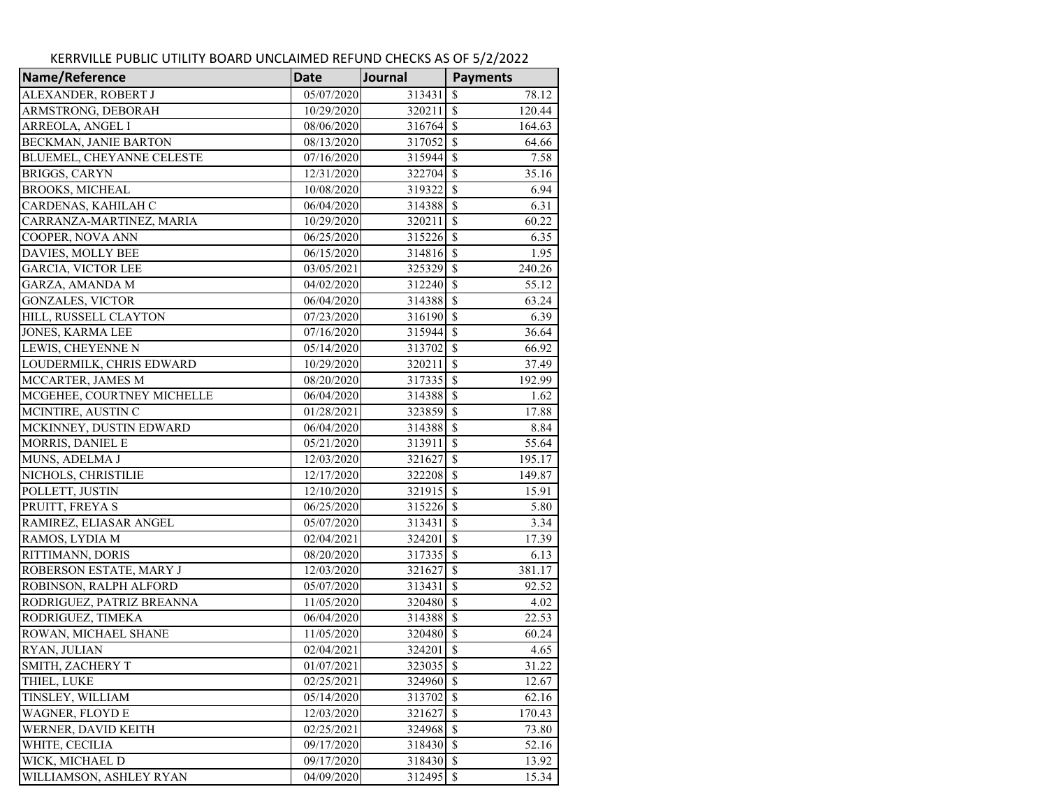| Name/Reference             | <b>Date</b> | Journal   | <b>Payments</b>         |  |
|----------------------------|-------------|-----------|-------------------------|--|
| ALEXANDER, ROBERT J        | 05/07/2020  | 313431    | 78.12<br>S              |  |
| ARMSTRONG, DEBORAH         | 10/29/2020  | 320211    | $\mathcal{S}$<br>120.44 |  |
| ARREOLA, ANGEL I           | 08/06/2020  | 316764    | <sup>5</sup><br>164.63  |  |
| BECKMAN, JANIE BARTON      | 08/13/2020  | 317052    | <sup>S</sup><br>64.66   |  |
| BLUEMEL, CHEYANNE CELESTE  | 07/16/2020  | 315944    | $\mathcal{S}$<br>7.58   |  |
| <b>BRIGGS, CARYN</b>       | 12/31/2020  | 322704    | $\mathcal{S}$<br>35.16  |  |
| <b>BROOKS, MICHEAL</b>     | 10/08/2020  | 319322    | <sup>\$</sup><br>6.94   |  |
| CARDENAS, KAHILAH C        | 06/04/2020  | 314388    | $\mathcal{S}$<br>6.31   |  |
| CARRANZA-MARTINEZ, MARIA   | 10/29/2020  | 320211    | <sup>\$</sup><br>60.22  |  |
| COOPER, NOVA ANN           | 06/25/2020  | 315226    | $\mathcal{S}$<br>6.35   |  |
| DAVIES, MOLLY BEE          | 06/15/2020  | 314816    | $\mathcal{S}$<br>1.95   |  |
| <b>GARCIA, VICTOR LEE</b>  | 03/05/2021  | 325329    | <sup>\$</sup><br>240.26 |  |
| GARZA, AMANDA M            | 04/02/2020  | 312240    | $\mathcal{S}$<br>55.12  |  |
| <b>GONZALES, VICTOR</b>    | 06/04/2020  | 314388    | <sup>\$</sup><br>63.24  |  |
| HILL, RUSSELL CLAYTON      | 07/23/2020  | 316190    | $\mathcal{S}$<br>6.39   |  |
| <b>JONES, KARMA LEE</b>    | 07/16/2020  | 315944    | <sup>\$</sup><br>36.64  |  |
| LEWIS, CHEYENNE N          | 05/14/2020  | 313702    | \$<br>66.92             |  |
| LOUDERMILK, CHRIS EDWARD   | 10/29/2020  | 320211    | <sup>S</sup><br>37.49   |  |
| MCCARTER, JAMES M          | 08/20/2020  | 317335    | $\mathcal{S}$<br>192.99 |  |
| MCGEHEE, COURTNEY MICHELLE | 06/04/2020  | 314388    | <sup>S</sup><br>1.62    |  |
| MCINTIRE, AUSTIN C         | 01/28/2021  | 323859    | \$<br>17.88             |  |
| MCKINNEY, DUSTIN EDWARD    | 06/04/2020  | 314388    | $\mathcal{S}$<br>8.84   |  |
| MORRIS, DANIEL E           | 05/21/2020  | 313911    | \$<br>55.64             |  |
| MUNS, ADELMA J             | 12/03/2020  | 321627    | $\mathcal{S}$<br>195.17 |  |
| NICHOLS, CHRISTILIE        | 12/17/2020  | 322208    | $\mathcal{S}$<br>149.87 |  |
| POLLETT, JUSTIN            | 12/10/2020  | 321915    | $\mathcal{S}$<br>15.91  |  |
| PRUITT, FREYAS             | 06/25/2020  | 315226    | $\mathcal{S}$<br>5.80   |  |
| RAMIREZ, ELIASAR ANGEL     | 05/07/2020  | 313431    | \$<br>3.34              |  |
| RAMOS, LYDIA M             | 02/04/2021  | 324201    | <sup>\$</sup><br>17.39  |  |
| RITTIMANN, DORIS           | 08/20/2020  | 317335    | $\mathcal{S}$<br>6.13   |  |
| ROBERSON ESTATE, MARY J    | 12/03/2020  | 321627    | <sup>\$</sup><br>381.17 |  |
| ROBINSON, RALPH ALFORD     | 05/07/2020  | 313431    | \$<br>92.52             |  |
| RODRIGUEZ, PATRIZ BREANNA  | 11/05/2020  | 320480    | $\mathcal{S}$<br>4.02   |  |
| RODRIGUEZ, TIMEKA          | 06/04/2020  | 314388    | $\mathcal{S}$<br>22.53  |  |
| ROWAN, MICHAEL SHANE       | 11/05/2020  | 320480    | $\mathcal{S}$<br>60.24  |  |
| RYAN, JULIAN               | 02/04/2021  | 324201    | \$<br>4.65              |  |
| SMITH, ZACHERY T           | 01/07/2021  | 323035 \$ | 31.22                   |  |
| THIEL, LUKE                | 02/25/2021  | 324960    | -S<br>12.67             |  |
| TINSLEY, WILLIAM           | 05/14/2020  | 313702    | <sup>\$</sup><br>62.16  |  |
| <b>WAGNER, FLOYD E</b>     | 12/03/2020  | 321627    | <sup>\$</sup><br>170.43 |  |
| WERNER, DAVID KEITH        | 02/25/2021  | 324968    | <sup>\$</sup><br>73.80  |  |
| WHITE, CECILIA             | 09/17/2020  | 318430    | <sup>\$</sup><br>52.16  |  |
| WICK, MICHAEL D            | 09/17/2020  | 318430    | <sup>\$</sup><br>13.92  |  |
| WILLIAMSON, ASHLEY RYAN    | 04/09/2020  | 312495    | $\sqrt{S}$<br>15.34     |  |

## KERRVILLE PUBLIC UTILITY BOARD UNCLAIMED REFUND CHECKS AS OF 5/2/2022